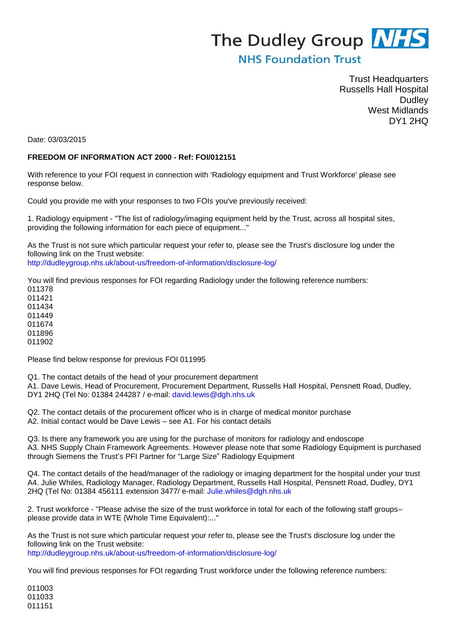## The Dudley Group **NHS**

## **NHS Foundation Trust**

Trust Headquarters Russells Hall Hospital **Dudley** West Midlands DY1 2HQ

Date: 03/03/2015

## **FREEDOM OF INFORMATION ACT 2000 - Ref: FOI/012151**

With reference to your FOI request in connection with 'Radiology equipment and Trust Workforce' please see response below.

Could you provide me with your responses to two FOIs you've previously received:

1. Radiology equipment - "The list of radiology/imaging equipment held by the Trust, across all hospital sites, providing the following information for each piece of equipment..."

As the Trust is not sure which particular request your refer to, please see the Trust's disclosure log under the following link on the Trust website: http://dudleygroup.nhs.uk/about-us/freedom-of-information/disclosure-log/

You will find previous responses for FOI regarding Radiology under the following reference numbers:

Please find below response for previous FOI 011995

Q1. The contact details of the head of your procurement department

A1. Dave Lewis, Head of Procurement, Procurement Department, Russells Hall Hospital, Pensnett Road, Dudley, DY1 2HQ (Tel No: 01384 244287 / e-mail: david.lewis@dgh.nhs.uk

Q2. The contact details of the procurement officer who is in charge of medical monitor purchase A2. Initial contact would be Dave Lewis – see A1. For his contact details

Q3. Is there any framework you are using for the purchase of monitors for radiology and endoscope A3. NHS Supply Chain Framework Agreements. However please note that some Radiology Equipment is purchased through Siemens the Trust's PFI Partner for "Large Size" Radiology Equipment

Q4. The contact details of the head/manager of the radiology or imaging department for the hospital under your trust A4. Julie Whiles, Radiology Manager, Radiology Department, Russells Hall Hospital, Pensnett Road, Dudley, DY1 2HQ (Tel No: 01384 456111 extension 3477/ e-mail: Julie.whiles@dgh.nhs.uk

2. Trust workforce - "Please advise the size of the trust workforce in total for each of the following staff groups– please provide data in WTE (Whole Time Equivalent):..."

As the Trust is not sure which particular request your refer to, please see the Trust's disclosure log under the following link on the Trust website: http://dudleygroup.nhs.uk/about-us/freedom-of-information/disclosure-log/

You will find previous responses for FOI regarding Trust workforce under the following reference numbers:

011003 011033 011151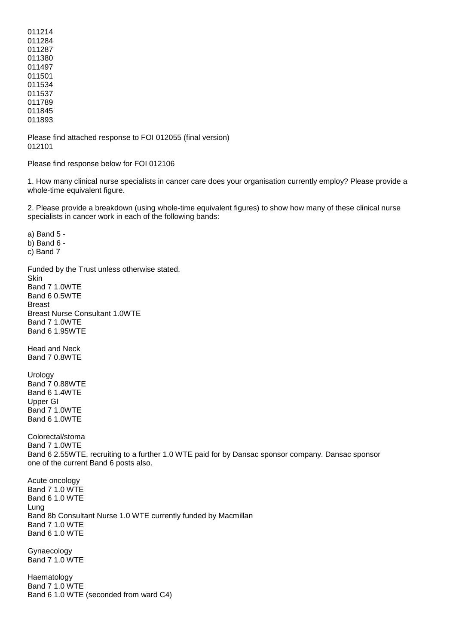Please find attached response to FOI 012055 (final version) 012101

Please find response below for FOI 012106

1. How many clinical nurse specialists in cancer care does your organisation currently employ? Please provide a whole-time equivalent figure.

2. Please provide a breakdown (using whole-time equivalent figures) to show how many of these clinical nurse specialists in cancer work in each of the following bands:

a) Band 5 b) Band 6 c) Band 7 Funded by the Trust unless otherwise stated. Skin Band 7 1.0WTE Band 6 0.5WTE Breast Breast Nurse Consultant 1.0WTE Band 7 1.0WTE Band 6 1.95WTE Head and Neck Band 7 0.8WTE Urology Band 7 0.88WTE Band 6 1.4WTE Upper GI Band 7 1.0WTE Band 6 1.0WTE Colorectal/stoma Band 7 1.0WTE Band 6 2.55WTE, recruiting to a further 1.0 WTE paid for by Dansac sponsor company. Dansac sponsor one of the current Band 6 posts also. Acute oncology Band 7 1.0 WTE Band 6 1.0 WTE Lung Band 8b Consultant Nurse 1.0 WTE currently funded by Macmillan Band 7 1.0 WTE Band 6 1.0 WTE Gynaecology Band 7 1.0 WTE

Haematology Band 7 1.0 WTE Band 6 1.0 WTE (seconded from ward C4)